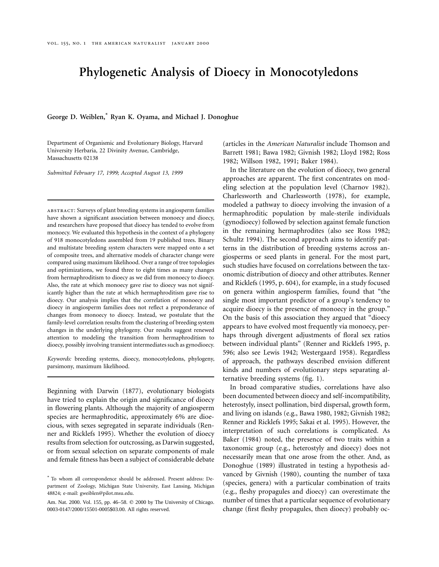# **Phylogenetic Analysis of Dioecy in Monocotyledons**

**George D. Weiblen,\* Ryan K. Oyama, and Michael J. Donoghue**

Department of Organismic and Evolutionary Biology, Harvard University Herbaria, 22 Divinity Avenue, Cambridge, Massachusetts 02138

*Submitted February 17, 1999; Accepted August 13, 1999*

abstract: Surveys of plant breeding systems in angiosperm families have shown a significant association between monoecy and dioecy, and researchers have proposed that dioecy has tended to evolve from monoecy. We evaluated this hypothesis in the context of a phylogeny of 918 monocotyledons assembled from 19 published trees. Binary and multistate breeding system characters were mapped onto a set of composite trees, and alternative models of character change were compared using maximum likelihood. Over a range of tree topologies and optimizations, we found three to eight times as many changes from hermaphroditism to dioecy as we did from monoecy to dioecy. Also, the rate at which monoecy gave rise to dioecy was not significantly higher than the rate at which hermaphroditism gave rise to dioecy. Our analysis implies that the correlation of monoecy and dioecy in angiosperm families does not reflect a preponderance of changes from monoecy to dioecy. Instead, we postulate that the family-level correlation results from the clustering of breeding system changes in the underlying phylogeny. Our results suggest renewed attention to modeling the transition from hermaphroditism to dioecy, possibly involving transient intermediates such as gynodioecy.

*Keywords:* breeding systems, dioecy, monocotyledons, phylogeny, parsimony, maximum likelihood.

Beginning with Darwin (1877), evolutionary biologists have tried to explain the origin and significance of dioecy in flowering plants. Although the majority of angiosperm species are hermaphroditic, approximately 6% are dioecious, with sexes segregated in separate individuals (Renner and Ricklefs 1995). Whether the evolution of dioecy results from selection for outcrossing, as Darwin suggested, or from sexual selection on separate components of male and female fitness has been a subject of considerable debate (articles in the *American Naturalist* include Thomson and Barrett 1981; Bawa 1982; Givnish 1982; Lloyd 1982; Ross 1982; Willson 1982, 1991; Baker 1984).

In the literature on the evolution of dioecy, two general approaches are apparent. The first concentrates on modeling selection at the population level (Charnov 1982). Charlesworth and Charlesworth (1978), for example, modeled a pathway to dioecy involving the invasion of a hermaphroditic population by male-sterile individuals (gynodioecy) followed by selection against female function in the remaining hermaphrodites (also see Ross 1982; Schultz 1994). The second approach aims to identify patterns in the distribution of breeding systems across angiosperms or seed plants in general. For the most part, such studies have focused on correlations between the taxonomic distribution of dioecy and other attributes. Renner and Ricklefs (1995, p. 604), for example, in a study focused on genera within angiosperm families, found that "the single most important predictor of a group's tendency to acquire dioecy is the presence of monoecy in the group." On the basis of this association they argued that "dioecy appears to have evolved most frequently via monoecy, perhaps through divergent adjustments of floral sex ratios between individual plants" (Renner and Ricklefs 1995, p. 596; also see Lewis 1942; Westergaard 1958). Regardless of approach, the pathways described envision different kinds and numbers of evolutionary steps separating alternative breeding systems (fig. 1).

In broad comparative studies, correlations have also been documented between dioecy and self-incompatibility, heterostyly, insect pollination, bird dispersal, growth form, and living on islands (e.g., Bawa 1980, 1982; Givnish 1982; Renner and Ricklefs 1995; Sakai et al. 1995). However, the interpretation of such correlations is complicated. As Baker (1984) noted, the presence of two traits within a taxonomic group (e.g., heterostyly and dioecy) does not necessarily mean that one arose from the other. And, as Donoghue (1989) illustrated in testing a hypothesis advanced by Givnish (1980), counting the number of taxa (species, genera) with a particular combination of traits (e.g., fleshy propagules and dioecy) can overestimate the number of times that a particular sequence of evolutionary change (first fleshy propagules, then dioecy) probably oc-

<sup>\*</sup> To whom all correspondence should be addressed. Present address: Department of Zoology, Michigan State University, East Lansing, Michigan 48824; e-mail: gweiblen@pilot.msu.edu.

Am. Nat. 2000. Vol. 155, pp. 46-58.  $©$  2000 by The University of Chicago. 0003-0147/2000/15501-0005\$03.00. All rights reserved.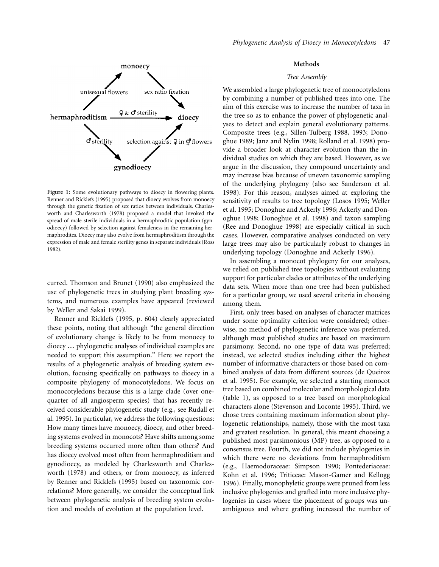

Figure 1: Some evolutionary pathways to dioecy in flowering plants. Renner and Ricklefs (1995) proposed that dioecy evolves from monoecy through the genetic fixation of sex ratios between individuals. Charlesworth and Charlesworth (1978) proposed a model that invoked the spread of male-sterile individuals in a hermaphroditic population (gynodioecy) followed by selection against femaleness in the remaining hermaphrodites. Dioecy may also evolve from hermaphroditism through the expression of male and female sterility genes in separate individuals (Ross 1982).

curred. Thomson and Brunet (1990) also emphasized the use of phylogenetic trees in studying plant breeding systems, and numerous examples have appeared (reviewed by Weller and Sakai 1999).

Renner and Ricklefs (1995, p. 604) clearly appreciated these points, noting that although "the general direction of evolutionary change is likely to be from monoecy to dioecy ... phylogenetic analyses of individual examples are needed to support this assumption." Here we report the results of a phylogenetic analysis of breeding system evolution, focusing specifically on pathways to dioecy in a composite phylogeny of monocotyledons. We focus on monocotyledons because this is a large clade (over onequarter of all angiosperm species) that has recently received considerable phylogenetic study (e.g., see Rudall et al. 1995). In particular, we address the following questions: How many times have monoecy, dioecy, and other breeding systems evolved in monocots? Have shifts among some breeding systems occurred more often than others? And has dioecy evolved most often from hermaphroditism and gynodioecy, as modeled by Charlesworth and Charlesworth (1978) and others, or from monoecy, as inferred by Renner and Ricklefs (1995) based on taxonomic correlations? More generally, we consider the conceptual link between phylogenetic analysis of breeding system evolution and models of evolution at the population level.

## **Methods**

### *Tree Assembly*

We assembled a large phylogenetic tree of monocotyledons by combining a number of published trees into one. The aim of this exercise was to increase the number of taxa in the tree so as to enhance the power of phylogenetic analyses to detect and explain general evolutionary patterns. Composite trees (e.g., Sillen-Tulberg 1988, 1993; Donoghue 1989; Janz and Nylin 1998; Rolland et al. 1998) provide a broader look at character evolution than the individual studies on which they are based. However, as we argue in the discussion, they compound uncertainty and may increase bias because of uneven taxonomic sampling of the underlying phylogeny (also see Sanderson et al. 1998). For this reason, analyses aimed at exploring the sensitivity of results to tree topology (Losos 1995; Weller et al. 1995; Donoghue and Ackerly 1996; Ackerly and Donoghue 1998; Donoghue et al. 1998) and taxon sampling (Ree and Donoghue 1998) are especially critical in such cases. However, comparative analyses conducted on very large trees may also be particularly robust to changes in underlying topology (Donoghue and Ackerly 1996).

In assembling a monocot phylogeny for our analyses, we relied on published tree topologies without evaluating support for particular clades or attributes of the underlying data sets. When more than one tree had been published for a particular group, we used several criteria in choosing among them.

First, only trees based on analyses of character matrices under some optimality criterion were considered; otherwise, no method of phylogenetic inference was preferred, although most published studies are based on maximum parsimony. Second, no one type of data was preferred; instead, we selected studies including either the highest number of informative characters or those based on combined analysis of data from different sources (de Queiroz et al. 1995). For example, we selected a starting monocot tree based on combined molecular and morphological data (table 1), as opposed to a tree based on morphological characters alone (Stevenson and Loconte 1995). Third, we chose trees containing maximum information about phylogenetic relationships, namely, those with the most taxa and greatest resolution. In general, this meant choosing a published most parsimonious (MP) tree, as opposed to a consensus tree. Fourth, we did not include phylogenies in which there were no deviations from hermaphroditism (e.g., Haemodoraceae: Simpson 1990; Pontederiaceae: Kohn et al. 1996; Triticeae: Mason-Gamer and Kellogg 1996). Finally, monophyletic groups were pruned from less inclusive phylogenies and grafted into more inclusive phylogenies in cases where the placement of groups was unambiguous and where grafting increased the number of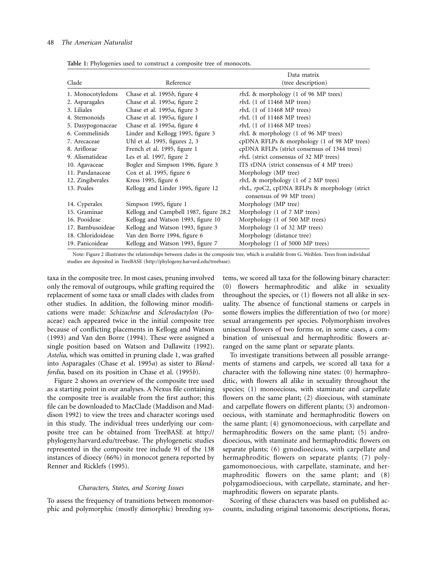| Clade             | Reference                              | Data matrix<br>(tree description)             |
|-------------------|----------------------------------------|-----------------------------------------------|
| 1. Monocotyledons | Chase et al. 1995 <i>b</i> , figure 4  | <i>rbcL</i> & morphology (1 of 96 MP trees)   |
| 2. Asparagales    | Chase et al. 1995 <i>a</i> , figure 2  | $rbcL$ (1 of 11468 MP trees)                  |
| 3. Liliales       | Chase et al. 1995 <i>a</i> , figure 3  | $rbcL$ (1 of 11468 MP trees)                  |
| 4. Stemonoids     | Chase et al. 1995 <i>a</i> , figure 1  | $rbcL$ (1 of 11468 MP trees)                  |
| 5. Dasypogonaceae | Chase et al. 1995a, figure 4           | $rbcL$ (1 of 11468 MP trees)                  |
| 6. Commelinids    | Linder and Kellogg 1995, figure 3      | rbcL & morphology (1 of 96 MP trees)          |
| 7. Arecaceae      | Uhl et al. 1995, figures 2, 3          | cpDNA RFLPs & morphology (1 of 98 MP trees)   |
| 8. Ariflorae      |                                        | cpDNA RFLPs (strict consensus of 1344 trees)  |
| 9. Alismatideae   | French et al. 1995, figure 1           |                                               |
|                   | Les et al. 1997, figure 2              | <i>rbcL</i> (strict consensus of 32 MP trees) |
| 10. Agavaceae     | Bogler and Simpson 1996, figure 3      | ITS rDNA (strict consensus of 4 MP trees)     |
| 11. Pandanaceae   | Cox et al. 1995, figure 6              | Morphology (MP tree)                          |
| 12. Zingiberales  | Kress 1995, figure 6                   | rbcL & morphology (1 of 2 MP trees)           |
| 13. Poales        | Kellogg and Linder 1995, figure 12     | rbcL, rpoC2, cpDNA RFLPs & morphology (strict |
|                   |                                        | consensus of 99 MP trees)                     |
| 14. Cyperales     | Simpson 1995, figure 1                 | Morphology (MP tree)                          |
| 15. Graminae      | Kellogg and Campbell 1987, figure 28.2 | Morphology (1 of 7 MP trees)                  |
| 16. Pooideae      | Kellogg and Watson 1993, figure 10     | Morphology (1 of 500 MP trees)                |
| 17. Bambusoideae  | Kellogg and Watson 1993, figure 3      | Morphology (1 of 32 MP trees)                 |
| 18. Chloridoideae | Van den Borre 1994, figure 6           | Morphology (distance tree)                    |
| 19. Panicoideae   | Kellogg and Watson 1993, figure 7      | Morphology (1 of 5000 MP trees)               |

**Table 1:** Phylogenies used to construct a composite tree of monocots.

Note: Figure 2 illustrates the relationships between clades in the composite tree, which is available from G. Weiblen. Trees from individual studies are deposited in TreeBASE (http://phylogeny.harvard.edu/treebase).

taxa in the composite tree. In most cases, pruning involved only the removal of outgroups, while grafting required the replacement of some taxa or small clades with clades from other studies. In addition, the following minor modifications were made: *Schizachne* and *Sclerodactylon* (Poaceae) each appeared twice in the initial composite tree because of conflicting placements in Kellogg and Watson (1993) and Van den Borre (1994). These were assigned a single position based on Watson and Dallawitz (1992). *Astelia*, which was omitted in pruning clade 1, was grafted into Asparagales (Chase et al. 1995*a*) as sister to *Blandfordia*, based on its position in Chase et al. (1995*b*).

Figure 2 shows an overview of the composite tree used as a starting point in our analyses. A Nexus file containing the composite tree is available from the first author; this file can be downloaded to MacClade (Maddison and Maddison 1992) to view the trees and character scorings used in this study. The individual trees underlying our composite tree can be obtained from TreeBASE at http:// phylogeny.harvard.edu/treebase. The phylogenetic studies represented in the composite tree include 91 of the 138 instances of dioecy (66%) in monocot genera reported by Renner and Ricklefs (1995).

## *Characters, States, and Scoring Issues*

To assess the frequency of transitions between monomorphic and polymorphic (mostly dimorphic) breeding systems, we scored all taxa for the following binary character: (0) flowers hermaphroditic and alike in sexuality throughout the species, or (1) flowers not all alike in sexuality. The absence of functional stamens or carpels in some flowers implies the differentiation of two (or more) sexual arrangements per species. Polymorphism involves unisexual flowers of two forms or, in some cases, a combination of unisexual and hermaphroditic flowers arranged on the same plant or separate plants.

To investigate transitions between all possible arrangements of stamens and carpels, we scored all taxa for a character with the following nine states: (0) hermaphroditic, with flowers all alike in sexuality throughout the species; (1) monoecious, with staminate and carpellate flowers on the same plant; (2) dioecious, with staminate and carpellate flowers on different plants; (3) andromonoecious, with staminate and hermaphroditic flowers on the same plant; (4) gynomonoecious, with carpellate and hermaphroditic flowers on the same plant; (5) androdioecious, with staminate and hermaphroditic flowers on separate plants; (6) gynodioecious, with carpellate and hermaphroditic flowers on separate plants; (7) polygamomonoecious, with carpellate, staminate, and hermaphroditic flowers on the same plant; and (8) polygamodioecious, with carpellate, staminate, and hermaphroditic flowers on separate plants.

Scoring of these characters was based on published accounts, including original taxonomic descriptions, floras,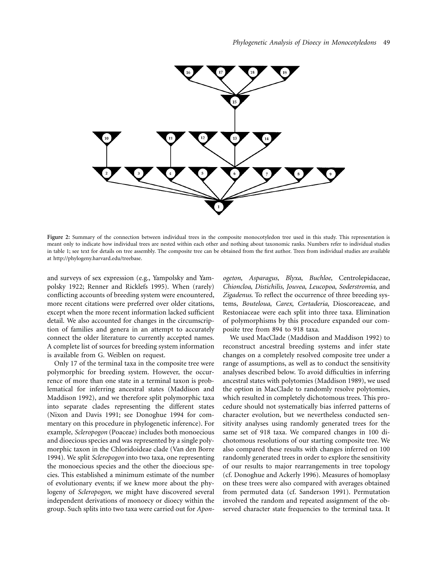

**Figure 2:** Summary of the connection between individual trees in the composite monocotyledon tree used in this study. This representation is meant only to indicate how individual trees are nested within each other and nothing about taxonomic ranks. Numbers refer to individual studies in table 1; see text for details on tree assembly. The composite tree can be obtained from the first author. Trees from individual studies are available at http://phylogeny.harvard.edu/treebase.

and surveys of sex expression (e.g., Yampolsky and Yampolsky 1922; Renner and Ricklefs 1995). When (rarely) conflicting accounts of breeding system were encountered, more recent citations were preferred over older citations, except when the more recent information lacked sufficient detail. We also accounted for changes in the circumscription of families and genera in an attempt to accurately connect the older literature to currently accepted names. A complete list of sources for breeding system information is available from G. Weiblen on request.

Only 17 of the terminal taxa in the composite tree were polymorphic for breeding system. However, the occurrence of more than one state in a terminal taxon is problematical for inferring ancestral states (Maddison and Maddison 1992), and we therefore split polymorphic taxa into separate clades representing the different states (Nixon and Davis 1991; see Donoghue 1994 for commentary on this procedure in phylogenetic inference). For example, *Scleropogon* (Poaceae) includes both monoecious and dioecious species and was represented by a single polymorphic taxon in the Chloridoideae clade (Van den Borre 1994). We split *Scleropogon* into two taxa, one representing the monoecious species and the other the dioecious species. This established a minimum estimate of the number of evolutionary events; if we knew more about the phylogeny of *Scleropogon*, we might have discovered several independent derivations of monoecy or dioecy within the group. Such splits into two taxa were carried out for *Apon-*

*ogeton*, *Asparagus*, *Blyxa*, *Buchloe*, Centrolepidaceae, *Chioncloa*, *Distichilis*, *Jouvea*, *Leucopoa*, *Soderstromia*, and *Zigadenus*. To reflect the occurrence of three breeding systems, *Bouteloua*, *Carex*, *Cortaderia*, Dioscoreaceae, and Restoniaceae were each split into three taxa. Elimination of polymorphisms by this procedure expanded our composite tree from 894 to 918 taxa.

We used MacClade (Maddison and Maddison 1992) to reconstruct ancestral breeding systems and infer state changes on a completely resolved composite tree under a range of assumptions, as well as to conduct the sensitivity analyses described below. To avoid difficulties in inferring ancestral states with polytomies (Maddison 1989), we used the option in MacClade to randomly resolve polytomies, which resulted in completely dichotomous trees. This procedure should not systematically bias inferred patterns of character evolution, but we nevertheless conducted sensitivity analyses using randomly generated trees for the same set of 918 taxa. We compared changes in 100 dichotomous resolutions of our starting composite tree. We also compared these results with changes inferred on 100 randomly generated trees in order to explore the sensitivity of our results to major rearrangements in tree topology (cf. Donoghue and Ackerly 1996). Measures of homoplasy on these trees were also compared with averages obtained from permuted data (cf. Sanderson 1991). Permutation involved the random and repeated assignment of the observed character state frequencies to the terminal taxa. It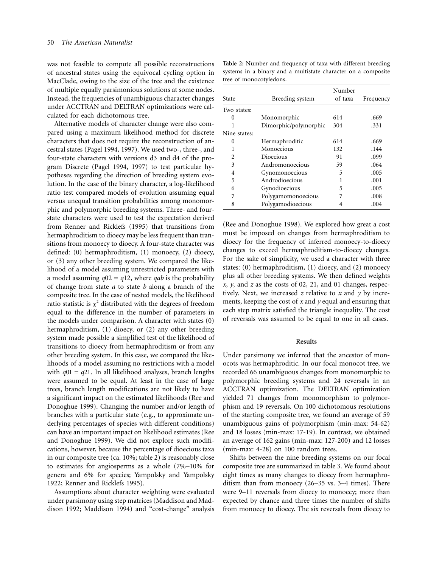was not feasible to compute all possible reconstructions of ancestral states using the equivocal cycling option in MacClade, owing to the size of the tree and the existence of multiple equally parsimonious solutions at some nodes. Instead, the frequencies of unambiguous character changes under ACCTRAN and DELTRAN optimizations were calculated for each dichotomous tree.

Alternative models of character change were also compared using a maximum likelihood method for discrete characters that does not require the reconstruction of ancestral states (Pagel 1994, 1997). We used two-, three-, and four-state characters with versions d3 and d4 of the program Discrete (Pagel 1994, 1997) to test particular hypotheses regarding the direction of breeding system evolution. In the case of the binary character, a log-likelihood ratio test compared models of evolution assuming equal versus unequal transition probabilities among monomorphic and polymorphic breeding systems. Three- and fourstate characters were used to test the expectation derived from Renner and Ricklefs (1995) that transitions from hermaphroditism to dioecy may be less frequent than transitions from monoecy to dioecy. A four-state character was defined: (0) hermaphroditism, (1) monoecy, (2) dioecy, or (3) any other breeding system. We compared the likelihood of a model assuming unrestricted parameters with a model assuming  $q02 = q12$ , where *qab* is the probability of change from state *a* to state *b* along a branch of the composite tree. In the case of nested models, the likelihood ratio statistic is  $\chi^2$  distributed with the degrees of freedom equal to the difference in the number of parameters in the models under comparison. A character with states (0) hermaphroditism, (1) dioecy, or (2) any other breeding system made possible a simplified test of the likelihood of transitions to dioecy from hermaphroditism or from any other breeding system. In this case, we compared the likelihoods of a model assuming no restrictions with a model with  $q01 = q21$ . In all likelihood analyses, branch lengths were assumed to be equal. At least in the case of large trees, branch length modifications are not likely to have a significant impact on the estimated likelihoods (Ree and Donoghue 1999). Changing the number and/or length of branches with a particular state (e.g., to approximate underlying percentages of species with different conditions) can have an important impact on likelihood estimates (Ree and Donoghue 1999). We did not explore such modifications, however, because the percentage of dioecious taxa in our composite tree (ca. 10%; table 2) is reasonably close to estimates for angiosperms as a whole (7%–10% for genera and 6% for species; Yampolsky and Yampolsky 1922; Renner and Ricklefs 1995).

Assumptions about character weighting were evaluated under parsimony using step matrices (Maddison and Maddison 1992; Maddison 1994) and "cost-change" analysis

**Table 2:** Number and frequency of taxa with different breeding systems in a binary and a multistate character on a composite tree of monocotyledons.

|                |                       | Number  |           |
|----------------|-----------------------|---------|-----------|
| State          | Breeding system       | of taxa | Frequency |
| Two states:    |                       |         |           |
| 0              | Monomorphic           | 614     | .669      |
|                | Dimorphic/polymorphic | 304     | .331      |
| Nine states:   |                       |         |           |
| 0              | Hermaphroditic        | 614     | .669      |
| 1              | Monoecious            | 132     | .144      |
| $\mathfrak{D}$ | Dioecious             | 91      | .099      |
| 3              | Andromonoecious       | 59      | .064      |
| 4              | Gynomonoecious        | 5       | .005      |
| 5              | Androdioecious        |         | .001      |
| 6              | Gynodioecious         | 5       | .005      |
| 7              | Polygamomonoecious    | 7       | .008      |
| 8              | Polygamodioecious     |         | .004      |

(Ree and Donoghue 1998). We explored how great a cost must be imposed on changes from hermaphroditism to dioecy for the frequency of inferred monoecy-to-dioecy changes to exceed hermaphroditism-to-dioecy changes. For the sake of simplicity, we used a character with three states: (0) hermaphroditism, (1) dioecy, and (2) monoecy plus all other breeding systems. We then defined weights *x*, *y*, and *z* as the costs of 02, 21, and 01 changes, respectively. Next, we increased *z* relative to *x* and *y* by increments, keeping the cost of *x* and *y* equal and ensuring that each step matrix satisfied the triangle inequality. The cost of reversals was assumed to be equal to one in all cases.

#### **Results**

Under parsimony we inferred that the ancestor of monocots was hermaphroditic. In our focal monocot tree, we recorded 66 unambiguous changes from monomorphic to polymorphic breeding systems and 24 reversals in an ACCTRAN optimization. The DELTRAN optimization yielded 71 changes from monomorphism to polymorphism and 19 reversals. On 100 dichotomous resolutions of the starting composite tree, we found an average of 59 unambiguous gains of polymorphism (min-max: 54-62) and 18 losses (min-max: 17-19). In contrast, we obtained an average of 162 gains (min-max: 127-200) and 12 losses (min-max: 4-28) on 100 random trees.

Shifts between the nine breeding systems on our focal composite tree are summarized in table 3. We found about eight times as many changes to dioecy from hermaphroditism than from monoecy (26–35 vs. 3–4 times). There were 9–11 reversals from dioecy to monoecy; more than expected by chance and three times the number of shifts from monoecy to dioecy. The six reversals from dioecy to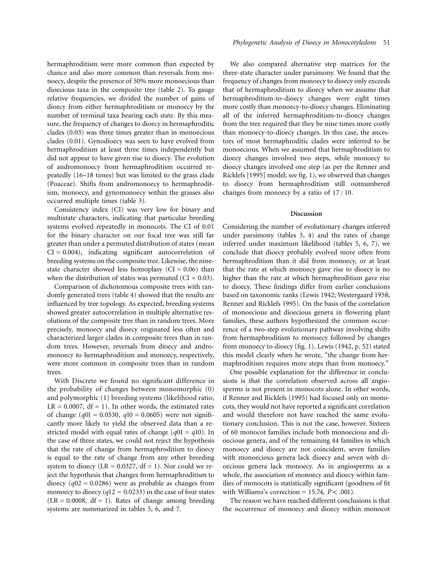hermaphroditism were more common than expected by chance and also more common than reversals from monoecy, despite the presence of 50% more monoecious than dioecious taxa in the composite tree (table 2). To gauge relative frequencies, we divided the number of gains of dioecy from either hermaphroditism or monoecy by the number of terminal taxa bearing each state. By this measure, the frequency of changes to dioecy in hermaphroditic clades (0.03) was three times greater than in monoecious clades (0.01). Gynodioecy was seen to have evolved from hermaphroditism at least three times independently but did not appear to have given rise to dioecy. The evolution of andromonoecy from hermaphroditism occurred repeatedly (16–18 times) but was limited to the grass clade (Poaceae). Shifts from andromonoecy to hermaphroditism, monoecy, and gynomonoecy within the grasses also occurred multiple times (table 3).

Consistency index (CI) was very low for binary and multistate characters, indicating that particular breeding systems evolved repeatedly in monocots. The CI of 0.01 for the binary character on our focal tree was still far greater than under a permuted distribution of states (mean  $CI = 0.004$ ), indicating significant autocorrelation of breeding systems on the composite tree. Likewise, the ninestate character showed less homoplasy  $(CI = 0.06)$  than when the distribution of states was permuted  $(CI = 0.03)$ .

Comparison of dichotomous composite trees with randomly generated trees (table 4) showed that the results are influenced by tree topology. As expected, breeding systems showed greater autocorrelation in multiple alternative resolutions of the composite tree than in random trees. More precisely, monoecy and dioecy originated less often and characterized larger clades in composite trees than in random trees. However, reversals from dioecy and andromonoecy to hermaphroditism and monoecy, respectively, were more common in composite trees than in random trees.

With Discrete we found no significant difference in the probability of changes between monomorphic (0) and polymorphic (1) breeding systems (likelihood ratio,  $LR = 0.0007$ ,  $df = 1$ ). In other words, the estimated rates of change ( $q01 = 0.0530$ ,  $q10 = 0.0605$ ) were not significantly more likely to yield the observed data than a restricted model with equal rates of change ( $q01 = q10$ ). In the case of three states, we could not reject the hypothesis that the rate of change from hermaphroditism to dioecy is equal to the rate of change from any other breeding system to dioecy ( $LR = 0.0327$ ,  $df = 1$ ). Nor could we reject the hypothesis that changes from hermaphroditism to dioecy ( $q02 = 0.0286$ ) were as probable as changes from monoecy to dioecy ( $q12 = 0.0233$ ) in the case of four states  $(LR = 0.0008, df = 1)$ . Rates of change among breeding systems are summarized in tables 5, 6, and 7.

We also compared alternative step matrices for the three-state character under parsimony. We found that the frequency of changes from monoecy to dioecy only exceeds that of hermaphroditism to dioecy when we assume that hermaphroditism-to-dioecy changes were eight times more costly than monoecy-to-dioecy changes. Eliminating all of the inferred hermaphroditism-to-dioecy changes from the tree required that they be nine times more costly than monoecy-to-dioecy changes. In this case, the ancestors of most hermaphroditic clades were inferred to be monoecious. When we assumed that hermaphroditism to dioecy changes involved two steps, while monoecy to dioecy changes involved one step (as per the Renner and Ricklefs [1995] model; see fig. 1), we observed that changes to dioecy from hermaphroditism still outnumbered changes from monoecy by a ratio of 17 : 10.

#### **Discussion**

Considering the number of evolutionary changes inferred under parsimony (tables 3, 4) and the rates of change inferred under maximum likelihood (tables 5, 6, 7), we conclude that dioecy probably evolved more often from hermaphroditism than it did from monoecy, or at least that the rate at which monoecy gave rise to dioecy is no higher than the rate at which hermaphroditism gave rise to dioecy. These findings differ from earlier conclusions based on taxonomic ranks (Lewis 1942; Westergaard 1958; Renner and Ricklefs 1995). On the basis of the correlation of monoecious and dioecious genera in flowering plant families, these authors hypothesized the common occurrence of a two-step evolutionary pathway involving shifts from hermaphroditism to monoecy followed by changes from monoecy to dioecy (fig. 1). Lewis (1942, p. 52) stated this model clearly when he wrote, "the change from hermaphroditism requires more steps than from monoecy."

One possible explanation for the difference in conclusions is that the correlation observed across all angiosperms is not present in monocots alone. In other words, if Renner and Ricklefs (1995) had focused only on monocots, they would not have reported a significant correlation and would therefore not have reached the same evolutionary conclusion. This is not the case, however. Sixteen of 60 monocot families include both monoecious and dioecious genera, and of the remaining 44 families in which monoecy and dioecy are not coincident, seven families with monoecious genera lack dioecy and seven with dioecious genera lack monoecy. As in angiosperms as a whole, the association of monoecy and dioecy within families of monocots is statistically significant (goodness of fit with Williams's correction = 15.74,  $P < .001$ ).

The reason we have reached different conclusions is that the occurrence of monoecy and dioecy within monocot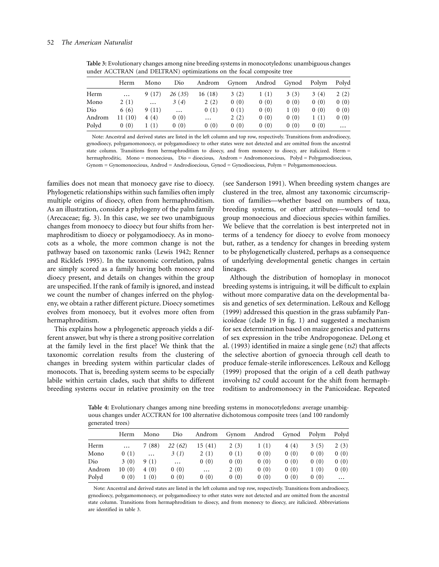| Table 3: Evolutionary changes among nine breeding systems in monocotyledons: unambiguous changes |      |      |      |                                       |  |  |  |
|--------------------------------------------------------------------------------------------------|------|------|------|---------------------------------------|--|--|--|
| under ACCTRAN (and DELTRAN) optimizations on the focal composite tree                            |      |      |      |                                       |  |  |  |
|                                                                                                  | Herm | Mono | Dio. | Androm Gynom Androd Gynod Polym Polyd |  |  |  |

|        | Herm                | Mono   |                  | Dio Androm Gynom Androd Gynod Polym Polyd |                 |      |      |      |          |
|--------|---------------------|--------|------------------|-------------------------------------------|-----------------|------|------|------|----------|
| Herm   | $\cdots$            |        | $9(17)$ $26(35)$ |                                           | $16(18)$ $3(2)$ | 1(1) | 3(3) | 3(4) | 2(2)     |
| Mono   | 2(1)                | $\sim$ | 3(4)             | 2(2)                                      | 0(0)            | 0(0) | 0(0) | 0(0) | 0(0)     |
| Dio    | 6 (6)               | 9(11)  |                  | 0(1)                                      | 0(1)            | 0(0) | 1(0) | 0(0) | 0(0)     |
| Androm | 11(10)              | 4(4)   | 0(0)             | $\cdots$                                  | 2(2)            | 0(0) | 0(0) | 1(1) | 0(0)     |
|        | Polyd $0(0)$ $1(1)$ |        | 0(0)             | 0(0)                                      | 0(0)            | 0(0) | 0(0) | 0(0) | $\cdots$ |
|        |                     |        |                  |                                           |                 |      |      |      |          |

Note: Ancestral and derived states are listed in the left column and top row, respectively. Transitions from androdioecy, gynodioecy, polygamomonoecy, or polygamodioecy to other states were not detected and are omitted from the ancestral state column. Transitions from hermaphroditism to dioecy, and from monoecy to dioecy, are italicized. Herm = hermaphroditic, Mono = monoecious, Dio = dioecious, Androm = Andromonoecious, Polyd = Polygamodioecious, Gynom = Gynomonoecious, Androd = Androdioecious, Gynod = Gynodioecious, Polym = Polygamomonoecious.

families does not mean that monoecy gave rise to dioecy. Phylogenetic relationships within such families often imply multiple origins of dioecy, often from hermaphroditism. As an illustration, consider a phylogeny of the palm family (Arecaceae; fig. 3). In this case, we see two unambiguous changes from monoecy to dioecy but four shifts from hermaphroditism to dioecy or polygamodioecy. As in monocots as a whole, the more common change is not the pathway based on taxonomic ranks (Lewis 1942; Renner and Ricklefs 1995). In the taxonomic correlation, palms are simply scored as a family having both monoecy and dioecy present, and details on changes within the group are unspecified. If the rank of family is ignored, and instead we count the number of changes inferred on the phylogeny, we obtain a rather different picture. Dioecy sometimes evolves from monoecy, but it evolves more often from hermaphroditism.

This explains how a phylogenetic approach yields a different answer, but why is there a strong positive correlation at the family level in the first place? We think that the taxonomic correlation results from the clustering of changes in breeding system within particular clades of monocots. That is, breeding system seems to be especially labile within certain clades, such that shifts to different breeding systems occur in relative proximity on the tree

(see Sanderson 1991). When breeding system changes are clustered in the tree, almost any taxonomic circumscription of families—whether based on numbers of taxa, breeding systems, or other attributes—would tend to group monoecious and dioecious species within families. We believe that the correlation is best interpreted not in terms of a tendency for dioecy to evolve from monoecy but, rather, as a tendency for changes in breeding system to be phylogenetically clustered, perhaps as a consequence of underlying developmental genetic changes in certain lineages.

Although the distribution of homoplasy in monocot breeding systems is intriguing, it will be difficult to explain without more comparative data on the developmental basis and genetics of sex determination. LeRoux and Kellogg (1999) addressed this question in the grass subfamily Panicoideae (clade 19 in fig. 1) and suggested a mechanism for sex determination based on maize genetics and patterns of sex expression in the tribe Andropogoneae. DeLong et al. (1993) identified in maize a single gene (*ts2*) that affects the selective abortion of gynoecia through cell death to produce female-sterile inflorescences. LeRoux and Kellogg (1999) proposed that the origin of a cell death pathway involving *ts2* could account for the shift from hermaphroditism to andromonoecy in the Panicoideae. Repeated

**Table 4:** Evolutionary changes among nine breeding systems in monocotyledons: average unambiguous changes under ACCTRAN for 100 alternative dichotomous composite trees (and 100 randomly generated trees)

|        | Herm     | Mono     | Dio      | Androm   |      | Gynom Androd | Gynod | Polym | Polyd    |
|--------|----------|----------|----------|----------|------|--------------|-------|-------|----------|
| Herm   | $\cdots$ | 7(88)    | 22(62)   | 15(41)   | 2(3) | 1(1)         | 4(4)  | 3(5)  | 2(3)     |
| Mono   | 0(1)     | $\cdots$ | 3(1)     | 2(1)     | 0(1) | 0(0)         | 0(0)  | 0(0)  | 0(0)     |
| Dio    | 3(0)     | 9(1)     | $\cdots$ | 0(0)     | 0(0) | 0(0)         | 0(0)  | 0(0)  | 0(0)     |
| Androm | 10(0)    | 4(0)     | 0(0)     | $\cdots$ | 2(0) | 0(0)         | 0(0)  | 1(0)  | 0(0)     |
| Polyd  | 0(0)     | 1(0)     | 0(0)     | 0(0)     | 0(0) | 0(0)         | 0(0)  | 0(0)  | $\cdots$ |

Note: Ancestral and derived states are listed in the left column and top row, respectively. Transitions from androdioecy, gynodioecy, polygamomonoecy, or polygamodioecy to other states were not detected and are omitted from the ancestral state column. Transitions from hermaphroditism to dioecy, and from monoecy to dioecy, are italicized. Abbreviations are identified in table 3.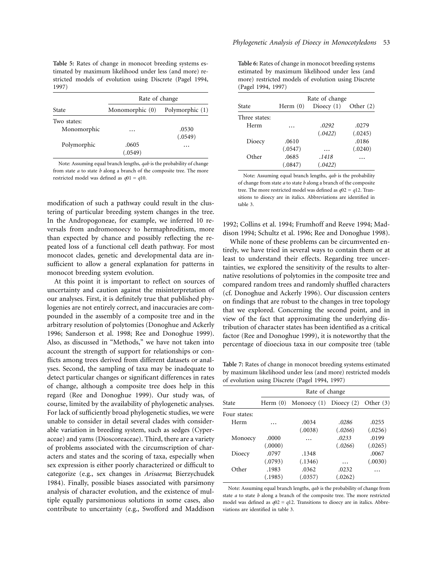**Table 5:** Rates of change in monocot breeding systems estimated by maximum likelihood under less (and more) restricted models of evolution using Discrete (Pagel 1994, 1997)

|                            | Rate of change   |                  |  |  |  |
|----------------------------|------------------|------------------|--|--|--|
| State                      | Monomorphic (0)  | Polymorphic (1)  |  |  |  |
| Two states:<br>Monomorphic | $\cdots$         | .0530<br>(.0549) |  |  |  |
| Polymorphic                | .0605<br>(.0549) |                  |  |  |  |

Note: Assuming equal branch lengths, *qab* is the probability of change from state *a* to state *b* along a branch of the composite tree. The more restricted model was defined as  $q01 = q10$ .

modification of such a pathway could result in the clustering of particular breeding system changes in the tree. In the Andropogoneae, for example, we inferred 10 reversals from andromonoecy to hermaphroditism, more than expected by chance and possibly reflecting the repeated loss of a functional cell death pathway. For most monocot clades, genetic and developmental data are insufficient to allow a general explanation for patterns in monocot breeding system evolution.

At this point it is important to reflect on sources of uncertainty and caution against the misinterpretation of our analyses. First, it is definitely true that published phylogenies are not entirely correct, and inaccuracies are compounded in the assembly of a composite tree and in the arbitrary resolution of polytomies (Donoghue and Ackerly 1996; Sanderson et al. 1998; Ree and Donoghue 1999). Also, as discussed in "Methods," we have not taken into account the strength of support for relationships or conflicts among trees derived from different datasets or analyses. Second, the sampling of taxa may be inadequate to detect particular changes or significant differences in rates of change, although a composite tree does help in this regard (Ree and Donoghue 1999). Our study was, of course, limited by the availability of phylogenetic analyses. For lack of sufficiently broad phylogenetic studies, we were unable to consider in detail several clades with considerable variation in breeding system, such as sedges (Cyperaceae) and yams (Dioscoreaceae). Third, there are a variety of problems associated with the circumscription of characters and states and the scoring of taxa, especially when sex expression is either poorly characterized or difficult to categorize (e.g., sex changes in *Arisaema*; Bierzychudek 1984). Finally, possible biases associated with parsimony analysis of character evolution, and the existence of multiple equally parsimonious solutions in some cases, also contribute to uncertainty (e.g., Swofford and Maddison

**Table 6:** Rates of change in monocot breeding systems estimated by maximum likelihood under less (and more) restricted models of evolution using Discrete (Pagel 1994, 1997)

| Herm $(0)$ | Dioecy $(1)$ | Other $(2)$    |
|------------|--------------|----------------|
|            |              |                |
|            | .0292        | .0279          |
|            | (.0422)      | (.0245)        |
| .0610      |              | .0186          |
| (.0547)    | .            | (.0240)        |
| .0685      | .1418        |                |
| (.0847)    | (.0422)      |                |
|            |              | Rate of change |

Note: Assuming equal branch lengths, *qab* is the probability of change from state *a* to state *b* along a branch of the composite tree. The more restricted model was defined as  $q02 = q12$ . Transitions to dioecy are in italics. Abbreviations are identified in table 3.

1992; Collins et al. 1994; Frumhoff and Reeve 1994; Maddison 1994; Schultz et al. 1996; Ree and Donoghue 1998).

While none of these problems can be circumvented entirely, we have tried in several ways to contain them or at least to understand their effects. Regarding tree uncertainties, we explored the sensitivity of the results to alternative resolutions of polytomies in the composite tree and compared random trees and randomly shuffled characters (cf. Donoghue and Ackerly 1996). Our discussion centers on findings that are robust to the changes in tree topology that we explored. Concerning the second point, and in view of the fact that approximating the underlying distribution of character states has been identified as a critical factor (Ree and Donoghue 1999), it is noteworthy that the percentage of dioecious taxa in our composite tree (table

**Table 7:** Rates of change in monocot breeding systems estimated by maximum likelihood under less (and more) restricted models of evolution using Discrete (Pagel 1994, 1997)

|              | Rate of change |               |              |           |  |  |  |
|--------------|----------------|---------------|--------------|-----------|--|--|--|
| State        | Herm $(0)$     | Monoecy $(1)$ | Dioecy $(2)$ | Other (3) |  |  |  |
| Four states: |                |               |              |           |  |  |  |
| Herm         |                | .0034         | .0286        | .0255     |  |  |  |
|              |                | (.0038)       | (.0266)      | (.0256)   |  |  |  |
| Monoecy      | .0000          | $\ddotsc$     | .0233        | .0199     |  |  |  |
|              | (0000)         |               | (.0266)      | (.0265)   |  |  |  |
| Dioecy       | .0797          | .1348         |              | .0067     |  |  |  |
|              | (.0793)        | (.1346)       |              | (.0030)   |  |  |  |
| Other        | .1983          | .0362         | .0232        |           |  |  |  |
|              | (.1985)        | (.0357)       | (.0262)      |           |  |  |  |

Note: Assuming equal branch lengths, *qab* is the probability of change from state *a* to state *b* along a branch of the composite tree. The more restricted model was defined as  $q02 = q12$ . Transitions to dioecy are in italics. Abbreviations are identified in table 3.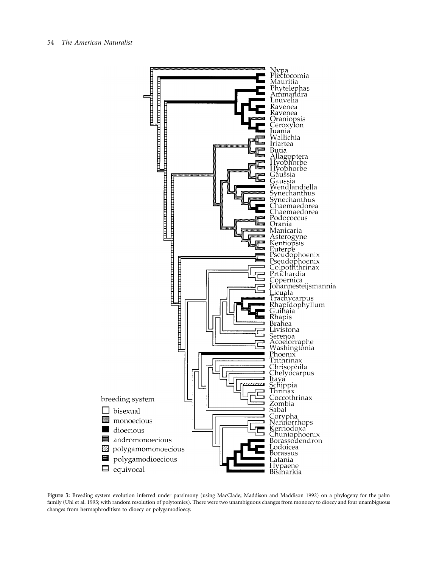

**Figure 3:** Breeding system evolution inferred under parsimony (using MacClade; Maddison and Maddison 1992) on a phylogeny for the palm family (Uhl et al. 1995; with random resolution of polytomies). There were two unambiguous changes from monoecy to dioecy and four unambiguous changes from hermaphroditism to dioecy or polygamodioecy.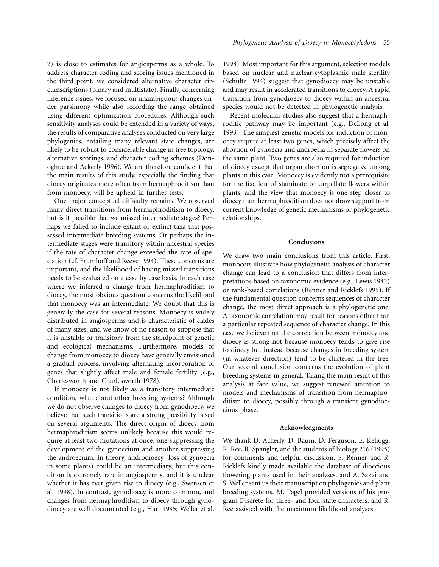2) is close to estimates for angiosperms as a whole. To address character coding and scoring issues mentioned in the third point, we considered alternative character circumscriptions (binary and multistate). Finally, concerning inference issues, we focused on unambiguous changes under parsimony while also recording the range obtained using different optimization procedures. Although such sensitivity analyses could be extended in a variety of ways, the results of comparative analyses conducted on very large phylogenies, entailing many relevant state changes, are likely to be robust to considerable change in tree topology, alternative scorings, and character coding schemes (Donoghue and Ackerly 1996). We are therefore confident that the main results of this study, especially the finding that dioecy originates more often from hermaphroditism than from monoecy, will be upheld in further tests.

One major conceptual difficulty remains. We observed many direct transitions from hermaphroditism to dioecy, but is it possible that we missed intermediate stages? Perhaps we failed to include extant or extinct taxa that possessed intermediate breeding systems. Or perhaps the intermediate stages were transitory within ancestral species if the rate of character change exceeded the rate of speciation (cf. Frumhoff and Reeve 1994). These concerns are important, and the likelihood of having missed transitions needs to be evaluated on a case by case basis. In each case where we inferred a change from hermaphroditism to dioecy, the most obvious question concerns the likelihood that monoecy was an intermediate. We doubt that this is generally the case for several reasons. Monoecy is widely distributed in angiosperms and is characteristic of clades of many sizes, and we know of no reason to suppose that it is unstable or transitory from the standpoint of genetic and ecological mechanisms. Furthermore, models of change from monoecy to dioecy have generally envisioned a gradual process, involving alternating incorporation of genes that slightly affect male and female fertility (e.g., Charlesworth and Charlesworth 1978).

If monoecy is not likely as a transitory intermediate condition, what about other breeding systems? Although we do not observe changes to dioecy from gynodioecy, we believe that such transitions are a strong possibility based on several arguments. The direct origin of dioecy from hermaphroditism seems unlikely because this would require at least two mutations at once, one suppressing the development of the gynoecium and another suppressing the androecium. In theory, androdioecy (loss of gynoecia in some plants) could be an intermediary, but this condition is extremely rare in angiosperms, and it is unclear whether it has ever given rise to dioecy (e.g., Swensen et al. 1998). In contrast, gynodioecy is more common, and changes from hermaphroditism to dioecy through gynodioecy are well documented (e.g., Hart 1985; Weller et al.

1998). Most important for this argument, selection models based on nuclear and nuclear-cytoplasmic male sterility (Schultz 1994) suggest that gynodioecy may be unstable and may result in accelerated transitions to dioecy. A rapid transition from gynodioecy to dioecy within an ancestral species would not be detected in phylogenetic analysis.

Recent molecular studies also suggest that a hermaphroditic pathway may be important (e.g., DeLong et al. 1993). The simplest genetic models for induction of monoecy require at least two genes, which precisely affect the abortion of gynoecia and androecia in separate flowers on the same plant. Two genes are also required for induction of dioecy except that organ abortion is segregated among plants in this case. Monoecy is evidently not a prerequisite for the fixation of staminate or carpellate flowers within plants, and the view that monoecy is one step closer to dioecy than hermaphroditism does not draw support from current knowledge of genetic mechanisms or phylogenetic relationships.

#### **Conclusions**

We draw two main conclusions from this article. First, monocots illustrate how phylogenetic analysis of character change can lead to a conclusion that differs from interpretations based on taxonomic evidence (e.g., Lewis 1942) or rank-based correlations (Renner and Ricklefs 1995). If the fundamental question concerns sequences of character change, the most direct approach is a phylogenetic one. A taxonomic correlation may result for reasons other than a particular repeated sequence of character change. In this case we believe that the correlation between monoecy and dioecy is strong not because monoecy tends to give rise to dioecy but instead because changes in breeding system (in whatever direction) tend to be clustered in the tree. Our second conclusion concerns the evolution of plant breeding systems in general. Taking the main result of this analysis at face value, we suggest renewed attention to models and mechanisms of transition from hermaphroditism to dioecy, possibly through a transient gynodioecious phase.

## **Acknowledgments**

We thank D. Ackerly, D. Baum, D. Ferguson, E. Kellogg, R. Ree, R. Spangler, and the students of Biology 216 (1995) for comments and helpful discussion. S. Renner and R. Ricklefs kindly made available the database of dioecious flowering plants used in their analyses, and A. Sakai and S. Weller sent us their manuscript on phylogenies and plant breeding systems. M. Pagel provided versions of his program Discrete for three- and four-state characters, and R. Ree assisted with the maximum likelihood analyses.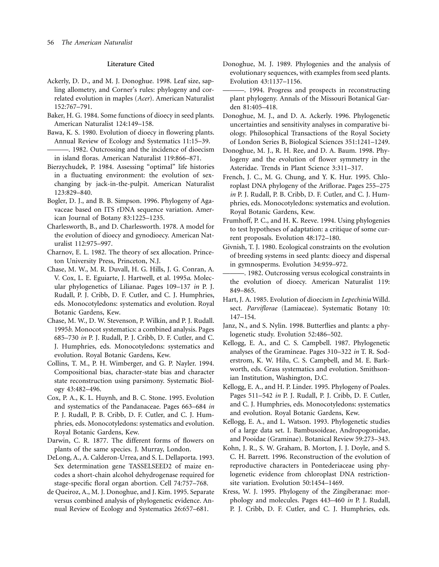#### **Literature Cited**

- Ackerly, D. D., and M. J. Donoghue. 1998. Leaf size, sapling allometry, and Corner's rules: phylogeny and correlated evolution in maples (*Acer*). American Naturalist 152:767–791.
- Baker, H. G. 1984. Some functions of dioecy in seed plants. American Naturalist 124:149–158.
- Bawa, K. S. 1980. Evolution of dioecy in flowering plants. Annual Review of Ecology and Systematics 11:15–39.

- Bierzychudek, P. 1984. Assessing "optimal" life histories in a fluctuating environment: the evolution of sexchanging by jack-in-the-pulpit. American Naturalist 123:829–840.
- Bogler, D. J., and B. B. Simpson. 1996. Phylogeny of Agavaceae based on ITS rDNA sequence variation. American Journal of Botany 83:1225–1235.
- Charlesworth, B., and D. Charlesworth. 1978. A model for the evolution of dioecy and gynodioecy. American Naturalist 112:975–997.
- Charnov, E. L. 1982. The theory of sex allocation. Princeton University Press, Princeton, N.J.
- Chase, M. W., M. R. Duvall, H. G. Hills, J. G. Conran, A. V. Cox, L. E. Eguiarte, J. Hartwell, et al. 1995*a*. Molecular phylogenetics of Lilianae. Pages 109–137 *in* P. J. Rudall, P. J. Cribb, D. F. Cutler, and C. J. Humphries, eds. Monocotyledons: systematics and evolution. Royal Botanic Gardens, Kew.
- Chase, M. W., D. W. Stevenson, P. Wilkin, and P. J. Rudall. 1995*b*. Monocot systematics: a combined analysis. Pages 685–730 *in* P. J. Rudall, P. J. Cribb, D. F. Cutler, and C. J. Humphries, eds. Monocotyledons: systematics and evolution. Royal Botanic Gardens, Kew.
- Collins, T. M., P. H. Wimberger, and G. P. Nayler. 1994. Compositional bias, character-state bias and character state reconstruction using parsimony. Systematic Biology 43:482–496.
- Cox, P. A., K. L. Huynh, and B. C. Stone. 1995. Evolution and systematics of the Pandanaceae. Pages 663–684 *in* P. J. Rudall, P. B. Cribb, D. F. Cutler, and C. J. Humphries, eds. Monocotyledons: systematics and evolution. Royal Botanic Gardens, Kew.
- Darwin, C. R. 1877. The different forms of flowers on plants of the same species. J. Murray, London.
- DeLong, A., A. Calderon-Urrea, and S. L. Dellaporta. 1993. Sex determination gene TASSELSEED2 of maize encodes a short-chain alcohol dehydrogenase required for stage-specific floral organ abortion. Cell 74:757–768.
- de Queiroz, A., M. J. Donoghue, and J. Kim. 1995. Separate versus combined analysis of phylogenetic evidence. Annual Review of Ecology and Systematics 26:657–681.

Donoghue, M. J. 1989. Phylogenies and the analysis of evolutionary sequences, with examples from seed plants. Evolution 43:1137–1156.

———. 1994. Progress and prospects in reconstructing plant phylogeny. Annals of the Missouri Botanical Garden 81:405–418.

- Donoghue, M. J., and D. A. Ackerly. 1996. Phylogenetic uncertainties and sensitivity analyses in comparative biology. Philosophical Transactions of the Royal Society of London Series B, Biological Sciences 351:1241–1249.
- Donoghue, M. J., R. H. Ree, and D. A. Baum. 1998. Phylogeny and the evolution of flower symmetry in the Asteridae. Trends in Plant Science 3:311–317.
- French, J. C., M. G. Chung, and Y. K. Hur. 1995. Chloroplast DNA phylogeny of the Ariflorae. Pages 255–275 *in* P. J. Rudall, P. B. Cribb, D. F. Cutler, and C. J. Humphries, eds. Monocotyledons: systematics and evolution. Royal Botanic Gardens, Kew.
- Frumhoff, P. C., and H. K. Reeve. 1994. Using phylogenies to test hypotheses of adaptation: a critique of some current proposals. Evolution 48:172–180.
- Givnish, T. J. 1980. Ecological constraints on the evolution of breeding systems in seed plants: dioecy and dispersal in gymnosperms. Evolution 34:959–972.
- ———. 1982. Outcrossing versus ecological constraints in the evolution of dioecy. American Naturalist 119: 849–865.
- Hart, J. A. 1985. Evolution of dioecism in *Lepechinia* Willd. sect. *Parviflorae* (Lamiaceae). Systematic Botany 10: 147–154.
- Janz, N., and S. Nylin. 1998. Butterflies and plants: a phylogenetic study. Evolution 52:486–502.
- Kellogg, E. A., and C. S. Campbell. 1987. Phylogenetic analyses of the Gramineae. Pages 310–322 *in* T. R. Soderstrom, K. W. Hilu, C. S. Campbell, and M. E. Barkworth, eds. Grass systematics and evolution. Smithsonian Institution, Washington, D.C.
- Kellogg, E. A., and H. P. Linder. 1995. Phylogeny of Poales. Pages 511–542 *in* P. J. Rudall, P. J. Cribb, D. F. Cutler, and C. J. Humphries, eds. Monocotyledons: systematics and evolution. Royal Botanic Gardens, Kew.
- Kellogg, E. A., and L. Watson. 1993. Phylogenetic studies of a large data set. I. Bambusoideae, Andropogonidae, and Pooidae (Graminae). Botanical Review 59:273–343.
- Kohn, J. R., S. W. Graham, B. Morton, J. J. Doyle, and S. C. H. Barrett. 1996. Reconstruction of the evolution of reproductive characters in Pontederiaceae using phylogenetic evidence from chloroplast DNA restrictionsite variation. Evolution 50:1454–1469.
- Kress, W. J. 1995. Phylogeny of the Zingiberanae: morphology and molecules. Pages 443–460 *in* P. J. Rudall, P. J. Cribb, D. F. Cutler, and C. J. Humphries, eds.

<sup>-. 1982.</sup> Outcrossing and the incidence of dioecism in island floras. American Naturalist 119:866–871.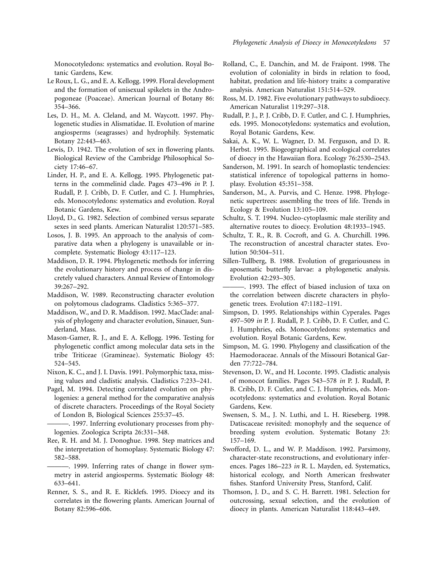Monocotyledons: systematics and evolution. Royal Botanic Gardens, Kew.

- Le Roux, L. G., and E. A. Kellogg. 1999. Floral development and the formation of unisexual spikelets in the Andropogoneae (Poaceae). American Journal of Botany 86: 354–366.
- Les, D. H., M. A. Cleland, and M. Waycott. 1997. Phylogenetic studies in Alismatidae. II. Evolution of marine angiosperms (seagrasses) and hydrophily. Systematic Botany 22:443–463.
- Lewis, D. 1942. The evolution of sex in flowering plants. Biological Review of the Cambridge Philosophical Society 17:46–67.
- Linder, H. P., and E. A. Kellogg. 1995. Phylogenetic patterns in the commelinid clade. Pages 473–496 *in* P. J. Rudall, P. J. Cribb, D. F. Cutler, and C. J. Humphries, eds. Monocotyledons: systematics and evolution. Royal Botanic Gardens, Kew.
- Lloyd, D., G. 1982. Selection of combined versus separate sexes in seed plants. American Naturalist 120:571–585.
- Losos, J. B. 1995. An approach to the analysis of comparative data when a phylogeny is unavailable or incomplete. Systematic Biology 43:117–123.
- Maddison, D. R. 1994. Phylogenetic methods for inferring the evolutionary history and process of change in discretely valued characters. Annual Review of Entomology 39:267–292.
- Maddison, W. 1989. Reconstructing character evolution on polytomous cladograms. Cladistics 5:365–377.
- Maddison, W., and D. R. Maddison. 1992. MacClade: analysis of phylogeny and character evolution, Sinauer, Sunderland, Mass.
- Mason-Gamer, R. J., and E. A. Kellogg. 1996. Testing for phylogenetic conflict among molecular data sets in the tribe Triticeae (Gramineae). Systematic Biology 45: 524–545.
- Nixon, K. C., and J. I. Davis. 1991. Polymorphic taxa, missing values and cladistic analysis. Cladistics 7:233–241.
- Pagel, M. 1994. Detecting correlated evolution on phylogenies: a general method for the comparative analysis of discrete characters. Proceedings of the Royal Society of London B, Biological Sciences 255:37–45.

———. 1997. Inferring evolutionary processes from phylogenies. Zoologica Scripta 26:331–348.

- Ree, R. H. and M. J. Donoghue. 1998. Step matrices and the interpretation of homoplasy. Systematic Biology 47: 582–588.
- ———. 1999. Inferring rates of change in flower symmetry in asterid angiosperms. Systematic Biology 48: 633–641.
- Renner, S. S., and R. E. Ricklefs. 1995. Dioecy and its correlates in the flowering plants. American Journal of Botany 82:596–606.
- Rolland, C., E. Danchin, and M. de Fraipont. 1998. The evolution of coloniality in birds in relation to food, habitat, predation and life-history traits: a comparative analysis. American Naturalist 151:514–529.
- Ross, M. D. 1982. Five evolutionary pathways to subdioecy. American Naturalist 119:297–318.
- Rudall, P. J., P. J. Cribb, D. F. Cutler, and C. J. Humphries, eds. 1995. Monocotyledons: systematics and evolution, Royal Botanic Gardens, Kew.
- Sakai, A. K., W. L. Wagner, D. M. Ferguson, and D. R. Herbst. 1995. Biogeographical and ecological correlates of dioecy in the Hawaiian flora. Ecology 76:2530–2543.
- Sanderson, M. 1991. In search of homoplastic tendencies: statistical inference of topological patterns in homoplasy. Evolution 45:351–358.
- Sanderson, M., A. Purvis, and C. Henze. 1998. Phylogenetic supertrees: assembling the trees of life. Trends in Ecology & Evolution 13:105–109.
- Schultz, S. T. 1994. Nucleo-cytoplasmic male sterility and alternative routes to dioecy. Evolution 48:1933–1945.
- Schultz, T. R., R. B. Cocroft, and G. A. Churchill. 1996. The reconstruction of ancestral character states. Evolution 50:504–511.
- Sillen-Tullberg, B. 1988. Evolution of gregariousness in aposematic butterfly larvae: a phylogenetic analysis. Evolution 42:293–305.
- ———. 1993. The effect of biased inclusion of taxa on the correlation between discrete characters in phylogenetic trees. Evolution 47:1182–1191.
- Simpson, D. 1995. Relationships within Cyperales. Pages 497–509 *in* P. J. Rudall, P. J. Cribb, D. F. Cutler, and C. J. Humphries, eds. Monocotyledons: systematics and evolution. Royal Botanic Gardens, Kew.
- Simpson, M. G. 1990. Phylogeny and classification of the Haemodoraceae. Annals of the Missouri Botanical Garden 77:722–784.
- Stevenson, D. W., and H. Loconte. 1995. Cladistic analysis of monocot families. Pages 543–578 *in* P. J. Rudall, P. B. Cribb, D. F. Cutler, and C. J. Humphries, eds. Monocotyledons: systematics and evolution. Royal Botanic Gardens, Kew.
- Swensen, S. M., J. N. Luthi, and L. H. Rieseberg. 1998. Datiscaceae revisited: monophyly and the sequence of breeding system evolution. Systematic Botany 23: 157–169.
- Swofford, D. L., and W. P. Maddison. 1992. Parsimony, character-state reconstructions, and evolutionary inferences. Pages 186–223 *in* R. L. Mayden, ed. Systematics, historical ecology, and North American freshwater fishes. Stanford University Press, Stanford, Calif.
- Thomson, J. D., and S. C. H. Barrett. 1981. Selection for outcrossing, sexual selection, and the evolution of dioecy in plants. American Naturalist 118:443–449.